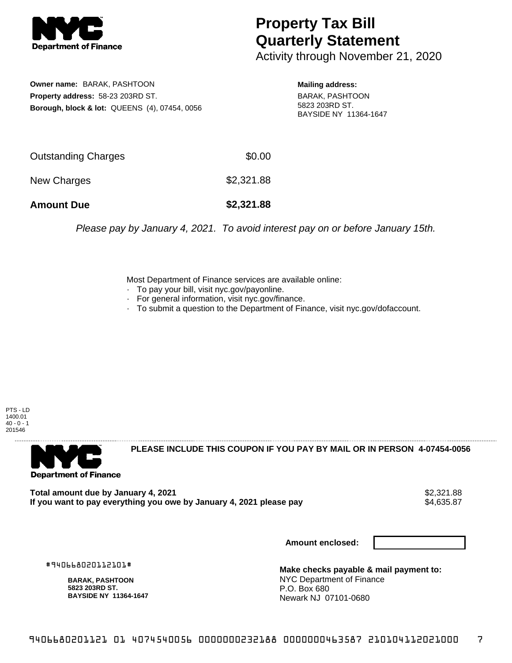

## **Property Tax Bill Quarterly Statement**

Activity through November 21, 2020

**Owner name:** BARAK, PASHTOON **Property address:** 58-23 203RD ST. **Borough, block & lot:** QUEENS (4), 07454, 0056

**Mailing address:** BARAK, PASHTOON 5823 203RD ST. BAYSIDE NY 11364-1647

| <b>Amount Due</b>   | \$2,321.88 |
|---------------------|------------|
| New Charges         | \$2,321.88 |
| Outstanding Charges | \$0.00     |

Please pay by January 4, 2021. To avoid interest pay on or before January 15th.

Most Department of Finance services are available online:

- · To pay your bill, visit nyc.gov/payonline.
- For general information, visit nyc.gov/finance.
- · To submit a question to the Department of Finance, visit nyc.gov/dofaccount.

PTS - LD 1400.01  $40 - 0 - 1$ 201546



**PLEASE INCLUDE THIS COUPON IF YOU PAY BY MAIL OR IN PERSON 4-07454-0056** 

**Total amount due by January 4, 2021**<br>If you want to pay everything you owe by January 4, 2021 please pay **strategy of the Superior Automate** \$4,635.87 If you want to pay everything you owe by January 4, 2021 please pay

**Amount enclosed:**

#940668020112101#

**BARAK, PASHTOON 5823 203RD ST. BAYSIDE NY 11364-1647**

**Make checks payable & mail payment to:** NYC Department of Finance P.O. Box 680 Newark NJ 07101-0680